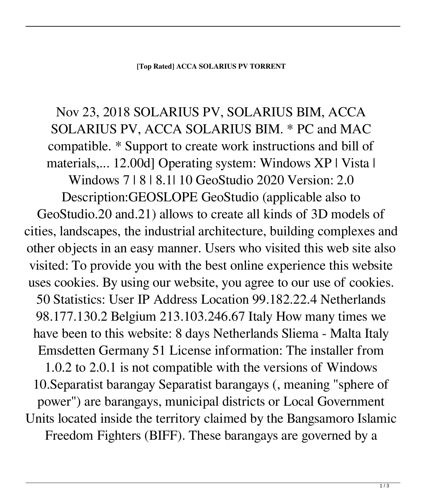## **[Top Rated] ACCA SOLARIUS PV TORRENT**

## Nov 23, 2018 SOLARIUS PV, SOLARIUS BIM, ACCA SOLARIUS PV, ACCA SOLARIUS BIM. \* PC and MAC compatible. \* Support to create work instructions and bill of materials,... 12.00d] Operating system: Windows XP | Vista | Windows 7 | 8 | 8.1| 10 GeoStudio 2020 Version: 2.0 Description:GEOSLOPE GeoStudio (applicable also to GeoStudio.20 and.21) allows to create all kinds of 3D models of cities, landscapes, the industrial architecture, building complexes and other objects in an easy manner. Users who visited this web site also visited: To provide you with the best online experience this website uses cookies. By using our website, you agree to our use of cookies. 50 Statistics: User IP Address Location 99.182.22.4 Netherlands 98.177.130.2 Belgium 213.103.246.67 Italy How many times we have been to this website: 8 days Netherlands Sliema - Malta Italy Emsdetten Germany 51 License information: The installer from 1.0.2 to 2.0.1 is not compatible with the versions of Windows 10.Separatist barangay Separatist barangays (, meaning "sphere of power") are barangays, municipal districts or Local Government Units located inside the territory claimed by the Bangsamoro Islamic Freedom Fighters (BIFF). These barangays are governed by a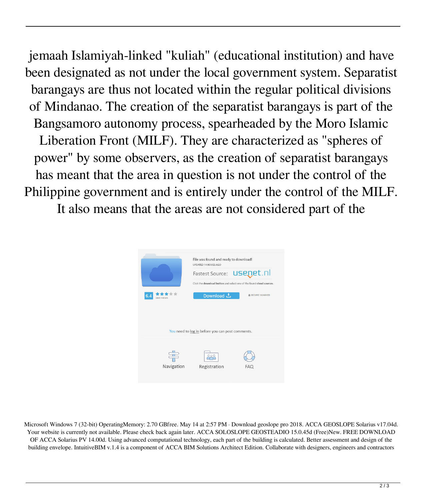jemaah Islamiyah-linked "kuliah" (educational institution) and have been designated as not under the local government system. Separatist barangays are thus not located within the regular political divisions of Mindanao. The creation of the separatist barangays is part of the Bangsamoro autonomy process, spearheaded by the Moro Islamic Liberation Front (MILF). They are characterized as "spheres of power" by some observers, as the creation of separatist barangays has meant that the area in question is not under the control of the Philippine government and is entirely under the control of the MILF. It also means that the areas are not considered part of the



Microsoft Windows 7 (32-bit) OperatingMemory: 2.70 GBfree. May 14 at 2:57 PM · Download geoslope pro 2018. ACCA GEOSLOPE Solarius v17.04d. Your website is currently not available. Please check back again later. ACCA SOLOSLOPE GEOSTEADIO 15.0.45d (Free)New. FREE DOWNLOAD OF ACCA Solarius PV 14.00d. Using advanced computational technology, each part of the building is calculated. Better assessment and design of the building envelope. IntuitiveBIM v.1.4 is a component of ACCA BIM Solutions Architect Edition. Collaborate with designers, engineers and contractors